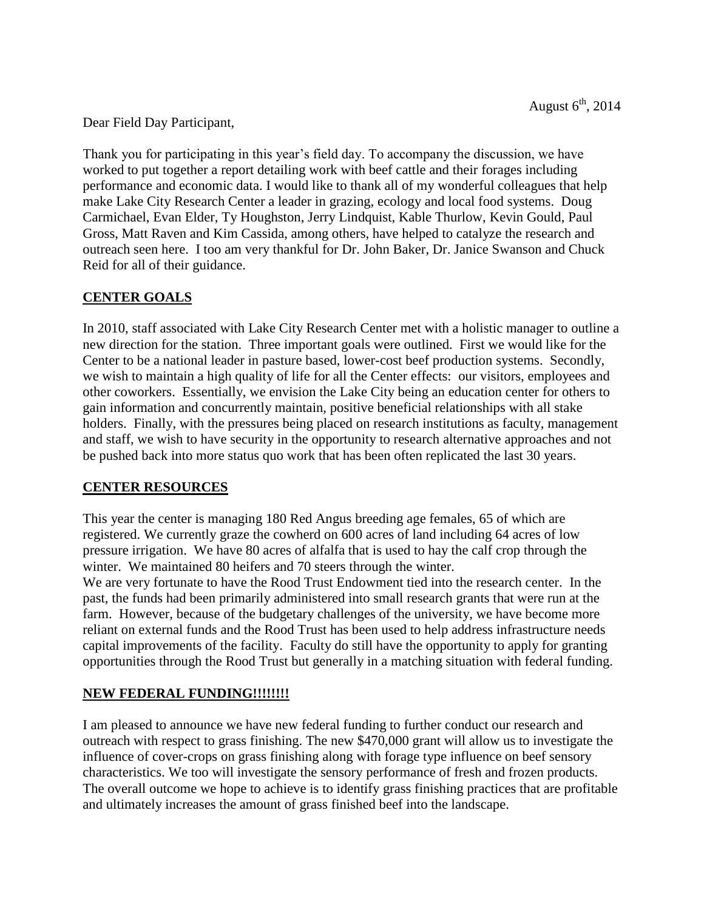Dear Field Day Participant,

Thank you for participating in this year's field day. To accompany the discussion, we have worked to put together a report detailing work with beef cattle and their forages including performance and economic data. I would like to thank all of my wonderful colleagues that help make Lake City Research Center a leader in grazing, ecology and local food systems. Doug Carmichael, Evan Elder, Ty Houghston, Jerry Lindquist, Kable Thurlow, Kevin Gould, Paul Gross, Matt Raven and Kim Cassida, among others, have helped to catalyze the research and outreach seen here. I too am very thankful for Dr. John Baker, Dr. Janice Swanson and Chuck Reid for all of their guidance.

# **CENTER GOALS**

In 2010, staff associated with Lake City Research Center met with a holistic manager to outline a new direction for the station. Three important goals were outlined. First we would like for the Center to be a national leader in pasture based, lower-cost beef production systems. Secondly, we wish to maintain a high quality of life for all the Center effects: our visitors, employees and other coworkers. Essentially, we envision the Lake City being an education center for others to gain information and concurrently maintain, positive beneficial relationships with all stake holders. Finally, with the pressures being placed on research institutions as faculty, management and staff, we wish to have security in the opportunity to research alternative approaches and not be pushed back into more status quo work that has been often replicated the last 30 years.

### **CENTER RESOURCES**

This year the center is managing 180 Red Angus breeding age females, 65 of which are registered. We currently graze the cowherd on 600 acres of land including 64 acres of low pressure irrigation. We have 80 acres of alfalfa that is used to hay the calf crop through the winter. We maintained 80 heifers and 70 steers through the winter.

We are very fortunate to have the Rood Trust Endowment tied into the research center. In the past, the funds had been primarily administered into small research grants that were run at the farm. However, because of the budgetary challenges of the university, we have become more reliant on external funds and the Rood Trust has been used to help address infrastructure needs capital improvements of the facility. Faculty do still have the opportunity to apply for granting opportunities through the Rood Trust but generally in a matching situation with federal funding.

# **NEW FEDERAL FUNDING!!!!!!!!**

I am pleased to announce we have new federal funding to further conduct our research and outreach with respect to grass finishing. The new \$470,000 grant will allow us to investigate the influence of cover-crops on grass finishing along with forage type influence on beef sensory characteristics. We too will investigate the sensory performance of fresh and frozen products. The overall outcome we hope to achieve is to identify grass finishing practices that are profitable and ultimately increases the amount of grass finished beef into the landscape.